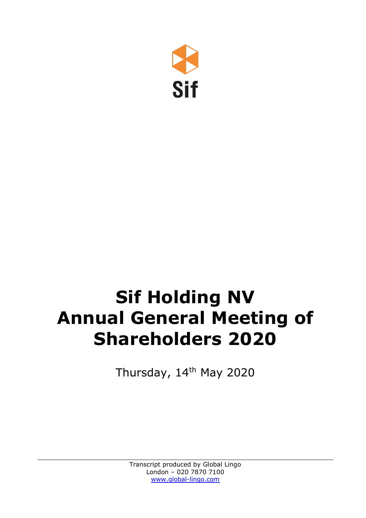

# **Sif Holding NV Annual General Meeting of Shareholders 2020**

Thursday, 14<sup>th</sup> May 2020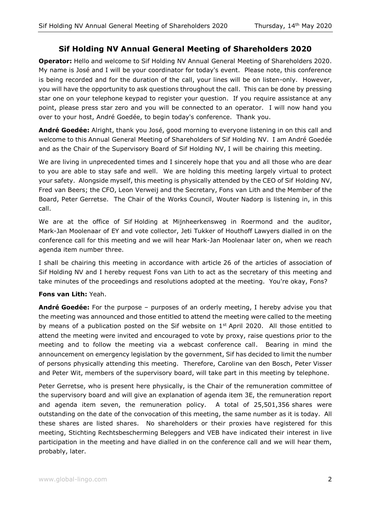## **Sif Holding NV Annual General Meeting of Shareholders 2020**

**Operator:** Hello and welcome to Sif Holding NV Annual General Meeting of Shareholders 2020. My name is José and I will be your coordinator for today's event. Please note, this conference is being recorded and for the duration of the call, your lines will be on listen-only. However, you will have the opportunity to ask questions throughout the call. This can be done by pressing star one on your telephone keypad to register your question. If you require assistance at any point, please press star zero and you will be connected to an operator. I will now hand you over to your host, André Goedée, to begin today's conference. Thank you.

**André Goedée:** Alright, thank you José, good morning to everyone listening in on this call and welcome to this Annual General Meeting of Shareholders of Sif Holding NV. I am André Goedée and as the Chair of the Supervisory Board of Sif Holding NV, I will be chairing this meeting.

We are living in unprecedented times and I sincerely hope that you and all those who are dear to you are able to stay safe and well. We are holding this meeting largely virtual to protect your safety. Alongside myself, this meeting is physically attended by the CEO of Sif Holding NV, Fred van Beers; the CFO, Leon Verweij and the Secretary, Fons van Lith and the Member of the Board, Peter Gerretse. The Chair of the Works Council, Wouter Nadorp is listening in, in this call.

We are at the office of Sif Holding at Mijnheerkensweg in Roermond and the auditor, Mark-Jan Moolenaar of EY and vote collector, Jeti Tukker of Houthoff Lawyers dialled in on the conference call for this meeting and we will hear Mark-Jan Moolenaar later on, when we reach agenda item number three.

I shall be chairing this meeting in accordance with article 26 of the articles of association of Sif Holding NV and I hereby request Fons van Lith to act as the secretary of this meeting and take minutes of the proceedings and resolutions adopted at the meeting. You're okay, Fons?

### **Fons van Lith:** Yeah.

**André Goedée:** For the purpose – purposes of an orderly meeting, I hereby advise you that the meeting was announced and those entitled to attend the meeting were called to the meeting by means of a publication posted on the Sif website on  $1<sup>st</sup>$  April 2020. All those entitled to attend the meeting were invited and encouraged to vote by proxy, raise questions prior to the meeting and to follow the meeting via a webcast conference call. Bearing in mind the announcement on emergency legislation by the government, Sif has decided to limit the number of persons physically attending this meeting. Therefore, Caroline van den Bosch, Peter Visser and Peter Wit, members of the supervisory board, will take part in this meeting by telephone.

Peter Gerretse, who is present here physically, is the Chair of the remuneration committee of the supervisory board and will give an explanation of agenda item 3E, the remuneration report and agenda item seven, the remuneration policy. A total of 25,501,356 shares were outstanding on the date of the convocation of this meeting, the same number as it is today. All these shares are listed shares. No shareholders or their proxies have registered for this meeting, Stichting Rechtsbescherming Beleggers and VEB have indicated their interest in live participation in the meeting and have dialled in on the conference call and we will hear them, probably, later.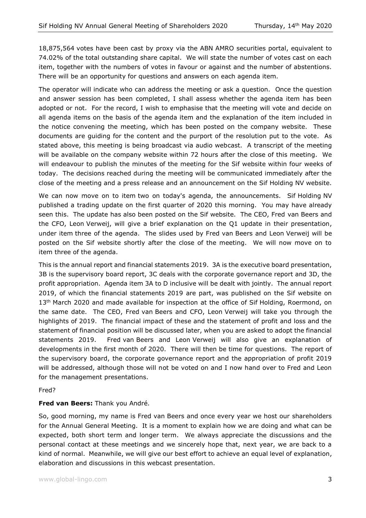18,875,564 votes have been cast by proxy via the ABN AMRO securities portal, equivalent to 74.02% of the total outstanding share capital. We will state the number of votes cast on each item, together with the numbers of votes in favour or against and the number of abstentions. There will be an opportunity for questions and answers on each agenda item.

The operator will indicate who can address the meeting or ask a question. Once the question and answer session has been completed, I shall assess whether the agenda item has been adopted or not. For the record, I wish to emphasise that the meeting will vote and decide on all agenda items on the basis of the agenda item and the explanation of the item included in the notice convening the meeting, which has been posted on the company website. These documents are guiding for the content and the purport of the resolution put to the vote. As stated above, this meeting is being broadcast via audio webcast. A transcript of the meeting will be available on the company website within 72 hours after the close of this meeting. We will endeavour to publish the minutes of the meeting for the Sif website within four weeks of today. The decisions reached during the meeting will be communicated immediately after the close of the meeting and a press release and an announcement on the Sif Holding NV website.

We can now move on to item two on today's agenda, the announcements. Sif Holding NV published a trading update on the first quarter of 2020 this morning. You may have already seen this. The update has also been posted on the Sif website. The CEO, Fred van Beers and the CFO, Leon Verweij, will give a brief explanation on the Q1 update in their presentation, under item three of the agenda. The slides used by Fred van Beers and Leon Verweij will be posted on the Sif website shortly after the close of the meeting. We will now move on to item three of the agenda.

This is the annual report and financial statements 2019. 3A is the executive board presentation, 3B is the supervisory board report, 3C deals with the corporate governance report and 3D, the profit appropriation. Agenda item 3A to D inclusive will be dealt with jointly. The annual report 2019, of which the financial statements 2019 are part, was published on the Sif website on 13<sup>th</sup> March 2020 and made available for inspection at the office of Sif Holding, Roermond, on the same date. The CEO, Fred van Beers and CFO, Leon Verweij will take you through the highlights of 2019. The financial impact of these and the statement of profit and loss and the statement of financial position will be discussed later, when you are asked to adopt the financial statements 2019. Fred van Beers and Leon Verweij will also give an explanation of developments in the first month of 2020. There will then be time for questions. The report of the supervisory board, the corporate governance report and the appropriation of profit 2019 will be addressed, although those will not be voted on and I now hand over to Fred and Leon for the management presentations.

Fred?

### **Fred van Beers:** Thank you André.

So, good morning, my name is Fred van Beers and once every year we host our shareholders for the Annual General Meeting. It is a moment to explain how we are doing and what can be expected, both short term and longer term. We always appreciate the discussions and the personal contact at these meetings and we sincerely hope that, next year, we are back to a kind of normal. Meanwhile, we will give our best effort to achieve an equal level of explanation, elaboration and discussions in this webcast presentation.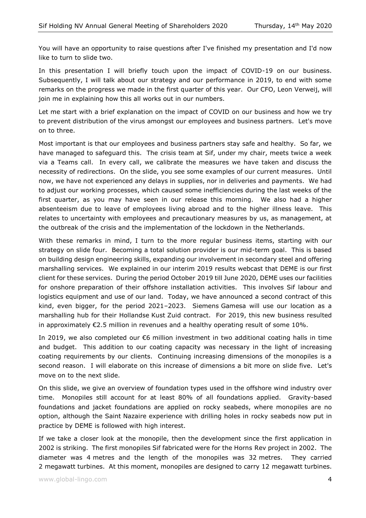You will have an opportunity to raise questions after I've finished my presentation and I'd now like to turn to slide two.

In this presentation I will briefly touch upon the impact of COVID-19 on our business. Subsequently, I will talk about our strategy and our performance in 2019, to end with some remarks on the progress we made in the first quarter of this year. Our CFO, Leon Verweij, will join me in explaining how this all works out in our numbers.

Let me start with a brief explanation on the impact of COVID on our business and how we try to prevent distribution of the virus amongst our employees and business partners. Let's move on to three.

Most important is that our employees and business partners stay safe and healthy. So far, we have managed to safeguard this. The crisis team at Sif, under my chair, meets twice a week via a Teams call. In every call, we calibrate the measures we have taken and discuss the necessity of redirections. On the slide, you see some examples of our current measures. Until now, we have not experienced any delays in supplies, nor in deliveries and payments. We had to adjust our working processes, which caused some inefficiencies during the last weeks of the first quarter, as you may have seen in our release this morning. We also had a higher absenteeism due to leave of employees living abroad and to the higher illness leave. This relates to uncertainty with employees and precautionary measures by us, as management, at the outbreak of the crisis and the implementation of the lockdown in the Netherlands.

With these remarks in mind, I turn to the more regular business items, starting with our strategy on slide four. Becoming a total solution provider is our mid-term goal. This is based on building design engineering skills, expanding our involvement in secondary steel and offering marshalling services. We explained in our interim 2019 results webcast that DEME is our first client for these services. During the period October 2019 till June 2020, DEME uses our facilities for onshore preparation of their offshore installation activities. This involves Sif labour and logistics equipment and use of our land. Today, we have announced a second contract of this kind, even bigger, for the period 2021–2023. Siemens Gamesa will use our location as a marshalling hub for their Hollandse Kust Zuid contract. For 2019, this new business resulted in approximately  $\epsilon$ 2.5 million in revenues and a healthy operating result of some 10%.

In 2019, we also completed our €6 million investment in two additional coating halls in time and budget. This addition to our coating capacity was necessary in the light of increasing coating requirements by our clients. Continuing increasing dimensions of the monopiles is a second reason. I will elaborate on this increase of dimensions a bit more on slide five. Let's move on to the next slide.

On this slide, we give an overview of foundation types used in the offshore wind industry over time. Monopiles still account for at least 80% of all foundations applied. Gravity-based foundations and jacket foundations are applied on rocky seabeds, where monopiles are no option, although the Saint Nazaire experience with drilling holes in rocky seabeds now put in practice by DEME is followed with high interest.

If we take a closer look at the monopile, then the development since the first application in 2002 is striking. The first monopiles Sif fabricated were for the Horns Rev project in 2002. The diameter was 4 metres and the length of the monopiles was 32 metres. They carried 2 megawatt turbines. At this moment, monopiles are designed to carry 12 megawatt turbines.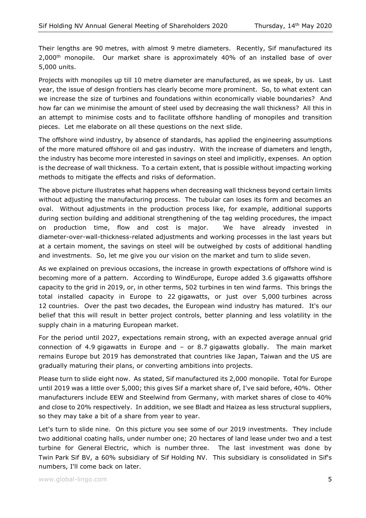Their lengths are 90 metres, with almost 9 metre diameters. Recently, Sif manufactured its 2,000<sup>th</sup> monopile. Our market share is approximately 40% of an installed base of over 5,000 units.

Projects with monopiles up till 10 metre diameter are manufactured, as we speak, by us. Last year, the issue of design frontiers has clearly become more prominent. So, to what extent can we increase the size of turbines and foundations within economically viable boundaries? And how far can we minimise the amount of steel used by decreasing the wall thickness? All this in an attempt to minimise costs and to facilitate offshore handling of monopiles and transition pieces. Let me elaborate on all these questions on the next slide.

The offshore wind industry, by absence of standards, has applied the engineering assumptions of the more matured offshore oil and gas industry. With the increase of diameters and length, the industry has become more interested in savings on steel and implicitly, expenses. An option is the decrease of wall thickness. To a certain extent, that is possible without impacting working methods to mitigate the effects and risks of deformation.

The above picture illustrates what happens when decreasing wall thickness beyond certain limits without adjusting the manufacturing process. The tubular can loses its form and becomes an oval. Without adjustments in the production process like, for example, additional supports during section building and additional strengthening of the tag welding procedures, the impact on production time, flow and cost is major. We have already invested in diameter-over-wall-thickness-related adjustments and working processes in the last years but at a certain moment, the savings on steel will be outweighed by costs of additional handling and investments. So, let me give you our vision on the market and turn to slide seven.

As we explained on previous occasions, the increase in growth expectations of offshore wind is becoming more of a pattern. According to WindEurope, Europe added 3.6 gigawatts offshore capacity to the grid in 2019, or, in other terms, 502 turbines in ten wind farms. This brings the total installed capacity in Europe to 22 gigawatts, or just over 5,000 turbines across 12 countries. Over the past two decades, the European wind industry has matured. It's our belief that this will result in better project controls, better planning and less volatility in the supply chain in a maturing European market.

For the period until 2027, expectations remain strong, with an expected average annual grid connection of 4.9 gigawatts in Europe and – or 8.7 gigawatts globally. The main market remains Europe but 2019 has demonstrated that countries like Japan, Taiwan and the US are gradually maturing their plans, or converting ambitions into projects.

Please turn to slide eight now. As stated, Sif manufactured its 2,000 monopile. Total for Europe until 2019 was a little over 5,000; this gives Sif a market share of, I've said before, 40%. Other manufacturers include EEW and Steelwind from Germany, with market shares of close to 40% and close to 20% respectively. In addition, we see Bladt and Haizea as less structural suppliers, so they may take a bit of a share from year to year.

Let's turn to slide nine. On this picture you see some of our 2019 investments. They include two additional coating halls, under number one; 20 hectares of land lease under two and a test turbine for General Electric, which is number three. The last investment was done by Twin Park Sif BV, a 60% subsidiary of Sif Holding NV. This subsidiary is consolidated in Sif's numbers, I'll come back on later.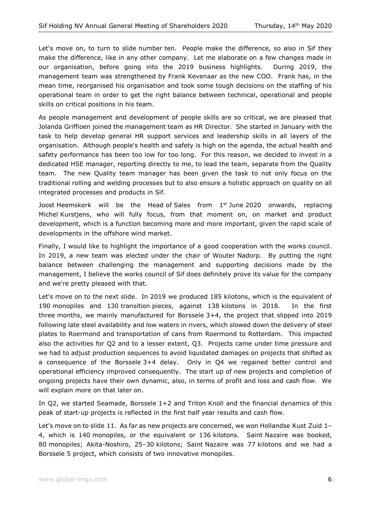Let's move on, to turn to slide number ten. People make the difference, so also in Sif they make the difference, like in any other company. Let me elaborate on a few changes made in our organisation, before going into the 2019 business highlights. During 2019, the management team was strengthened by Frank Kevenaar as the new COO. Frank has, in the mean time, reorganised his organisation and took some tough decisions on the staffing of his operational team in order to get the right balance between technical, operational and people skills on critical positions in his team.

As people management and development of people skills are so critical, we are pleased that Jolanda Griffioen joined the management team as HR Director. She started in January with the task to help develop general HR support services and leadership skills in all layers of the organisation. Although people's health and safety is high on the agenda, the actual health and safety performance has been too low for too long. For this reason, we decided to invest in a dedicated HSE manager, reporting directly to me, to lead the team, separate from the Quality team. The new Quality team manager has been given the task to not only focus on the traditional rolling and welding processes but to also ensure a holistic approach on quality on all integrated processes and products in Sif.

Joost Heemskerk will be the Head of Sales from  $1<sup>st</sup>$  June 2020 onwards, replacing Michel Kurstjens, who will fully focus, from that moment on, on market and product development, which is a function becoming more and more important, given the rapid scale of developments in the offshore wind market.

Finally, I would like to highlight the importance of a good cooperation with the works council. In 2019, a new team was elected under the chair of Wouter Nadorp. By putting the right balance between challenging the management and supporting decisions made by the management, I believe the works council of Sif does definitely prove its value for the company and we're pretty pleased with that.

Let's move on to the next slide. In 2019 we produced 185 kilotons, which is the equivalent of 190 monopiles and 130 transition pieces, against 138 kilotons in 2018. In the first three months, we mainly manufactured for Borssele 3+4, the project that slipped into 2019 following late steel availability and low waters in rivers, which slowed down the delivery of steel plates to Roermond and transportation of cans from Roermond to Rotterdam. This impacted also the activities for Q2 and to a lesser extent, Q3. Projects came under time pressure and we had to adjust production sequences to avoid liquidated damages on projects that shifted as a consequence of the Borssele 3+4 delay. Only in Q4 we regained better control and operational efficiency improved consequently. The start up of new projects and completion of ongoing projects have their own dynamic, also, in terms of profit and loss and cash flow. We will explain more on that later on.

In Q2, we started Seamade, Borssele 1+2 and Triton Knoll and the financial dynamics of this peak of start-up projects is reflected in the first half year results and cash flow.

Let's move on to slide 11. As far as new projects are concerned, we won Hollandse Kust Zuid 1– 4, which is 140 monopiles, or the equivalent or 136 kilotons. Saint Nazaire was booked, 80 monopiles; Akita-Noshiro, 25–30 kilotons; Saint Nazaire was 77 kilotons and we had a Borssele 5 project, which consists of two innovative monopiles.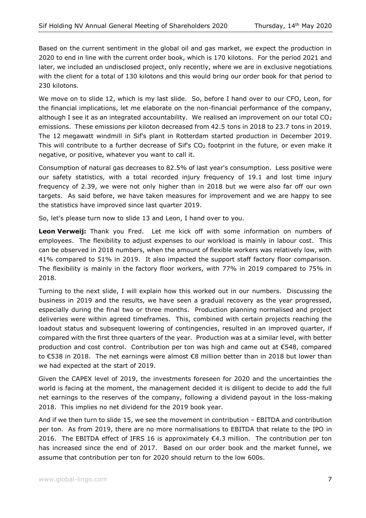Based on the current sentiment in the global oil and gas market, we expect the production in 2020 to end in line with the current order book, which is 170 kilotons. For the period 2021 and later, we included an undisclosed project, only recently, where we are in exclusive negotiations with the client for a total of 130 kilotons and this would bring our order book for that period to 230 kilotons.

We move on to slide 12, which is my last slide. So, before I hand over to our CFO, Leon, for the financial implications, let me elaborate on the non-financial performance of the company, although I see it as an integrated accountability. We realised an improvement on our total CO<sub>2</sub> emissions. These emissions per kiloton decreased from 42.5 tons in 2018 to 23.7 tons in 2019. The 12 megawatt windmill in Sif's plant in Rotterdam started production in December 2019. This will contribute to a further decrease of Sif's  $CO<sub>2</sub>$  footprint in the future, or even make it negative, or positive, whatever you want to call it.

Consumption of natural gas decreases to 82.5% of last year's consumption. Less positive were our safety statistics, with a total recorded injury frequency of 19.1 and lost time injury frequency of 2.39, we were not only higher than in 2018 but we were also far off our own targets. As said before, we have taken measures for improvement and we are happy to see the statistics have improved since last quarter 2019.

So, let's please turn now to slide 13 and Leon, I hand over to you.

**Leon Verweij:** Thank you Fred. Let me kick off with some information on numbers of employees. The flexibility to adjust expenses to our workload is mainly in labour cost. This can be observed in 2018 numbers, when the amount of flexible workers was relatively low, with 41% compared to 51% in 2019. It also impacted the support staff factory floor comparison. The flexibility is mainly in the factory floor workers, with 77% in 2019 compared to 75% in 2018.

Turning to the next slide, I will explain how this worked out in our numbers. Discussing the business in 2019 and the results, we have seen a gradual recovery as the year progressed, especially during the final two or three months. Production planning normalised and project deliveries were within agreed timeframes. This, combined with certain projects reaching the loadout status and subsequent lowering of contingencies, resulted in an improved quarter, if compared with the first three quarters of the year. Production was at a similar level, with better production and cost control. Contribution per ton was high and came out at €548, compared to €538 in 2018. The net earnings were almost €8 million better than in 2018 but lower than we had expected at the start of 2019.

Given the CAPEX level of 2019, the investments foreseen for 2020 and the uncertainties the world is facing at the moment, the management decided it is diligent to decide to add the full net earnings to the reserves of the company, following a dividend payout in the loss-making 2018. This implies no net dividend for the 2019 book year.

And if we then turn to slide 15, we see the movement in contribution – EBITDA and contribution per ton. As from 2019, there are no more normalisations to EBITDA that relate to the IPO in 2016. The EBITDA effect of IFRS 16 is approximately  $\epsilon$ 4.3 million. The contribution per ton has increased since the end of 2017. Based on our order book and the market funnel, we assume that contribution per ton for 2020 should return to the low 600s.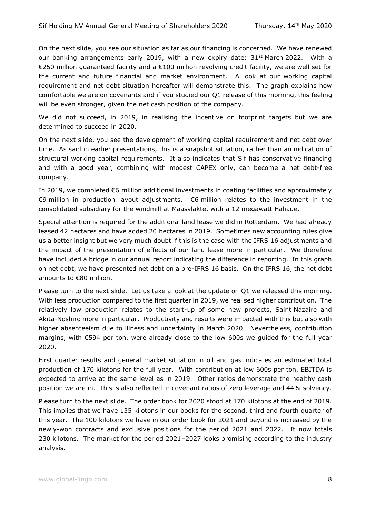On the next slide, you see our situation as far as our financing is concerned. We have renewed our banking arrangements early 2019, with a new expiry date:  $31<sup>st</sup>$  March 2022. With a €250 million guaranteed facility and a €100 million revolving credit facility, we are well set for the current and future financial and market environment. A look at our working capital requirement and net debt situation hereafter will demonstrate this. The graph explains how comfortable we are on covenants and if you studied our Q1 release of this morning, this feeling will be even stronger, given the net cash position of the company.

We did not succeed, in 2019, in realising the incentive on footprint targets but we are determined to succeed in 2020.

On the next slide, you see the development of working capital requirement and net debt over time. As said in earlier presentations, this is a snapshot situation, rather than an indication of structural working capital requirements. It also indicates that Sif has conservative financing and with a good year, combining with modest CAPEX only, can become a net debt-free company.

In 2019, we completed €6 million additional investments in coating facilities and approximately €9 million in production layout adjustments. €6 million relates to the investment in the consolidated subsidiary for the windmill at Maasvlakte, with a 12 megawatt Haliade.

Special attention is required for the additional land lease we did in Rotterdam. We had already leased 42 hectares and have added 20 hectares in 2019. Sometimes new accounting rules give us a better insight but we very much doubt if this is the case with the IFRS 16 adjustments and the impact of the presentation of effects of our land lease more in particular. We therefore have included a bridge in our annual report indicating the difference in reporting. In this graph on net debt, we have presented net debt on a pre-IFRS 16 basis. On the IFRS 16, the net debt amounts to €80 million.

Please turn to the next slide. Let us take a look at the update on Q1 we released this morning. With less production compared to the first quarter in 2019, we realised higher contribution. The relatively low production relates to the start-up of some new projects, Saint Nazaire and Akita-Noshiro more in particular. Productivity and results were impacted with this but also with higher absenteeism due to illness and uncertainty in March 2020. Nevertheless, contribution margins, with €594 per ton, were already close to the low 600s we guided for the full year 2020.

First quarter results and general market situation in oil and gas indicates an estimated total production of 170 kilotons for the full year. With contribution at low 600s per ton, EBITDA is expected to arrive at the same level as in 2019. Other ratios demonstrate the healthy cash position we are in. This is also reflected in covenant ratios of zero leverage and 44% solvency.

Please turn to the next slide. The order book for 2020 stood at 170 kilotons at the end of 2019. This implies that we have 135 kilotons in our books for the second, third and fourth quarter of this year. The 100 kilotons we have in our order book for 2021 and beyond is increased by the newly-won contracts and exclusive positions for the period 2021 and 2022. It now totals 230 kilotons. The market for the period 2021–2027 looks promising according to the industry analysis.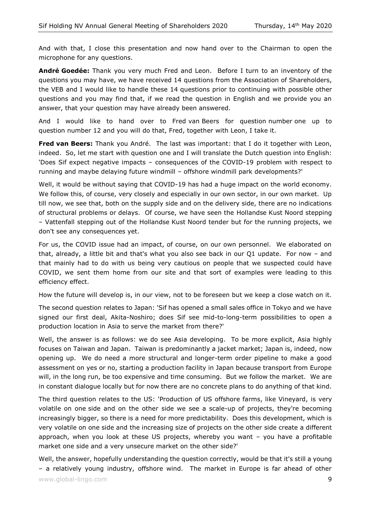And with that, I close this presentation and now hand over to the Chairman to open the microphone for any questions.

**André Goedée:** Thank you very much Fred and Leon. Before I turn to an inventory of the questions you may have, we have received 14 questions from the Association of Shareholders, the VEB and I would like to handle these 14 questions prior to continuing with possible other questions and you may find that, if we read the question in English and we provide you an answer, that your question may have already been answered.

And I would like to hand over to Fred van Beers for question number one up to question number 12 and you will do that, Fred, together with Leon, I take it.

**Fred van Beers:** Thank you André. The last was important: that I do it together with Leon, indeed. So, let me start with question one and I will translate the Dutch question into English: 'Does Sif expect negative impacts – consequences of the COVID-19 problem with respect to running and maybe delaying future windmill – offshore windmill park developments?'

Well, it would be without saying that COVID-19 has had a huge impact on the world economy. We follow this, of course, very closely and especially in our own sector, in our own market. Up till now, we see that, both on the supply side and on the delivery side, there are no indications of structural problems or delays. Of course, we have seen the Hollandse Kust Noord stepping – Vattenfall stepping out of the Hollandse Kust Noord tender but for the running projects, we don't see any consequences yet.

For us, the COVID issue had an impact, of course, on our own personnel. We elaborated on that, already, a little bit and that's what you also see back in our  $Q1$  update. For now - and that mainly had to do with us being very cautious on people that we suspected could have COVID, we sent them home from our site and that sort of examples were leading to this efficiency effect.

How the future will develop is, in our view, not to be foreseen but we keep a close watch on it.

The second question relates to Japan: 'Sif has opened a small sales office in Tokyo and we have signed our first deal, Akita-Noshiro; does Sif see mid-to-long-term possibilities to open a production location in Asia to serve the market from there?'

Well, the answer is as follows: we do see Asia developing. To be more explicit, Asia highly focuses on Taiwan and Japan. Taiwan is predominantly a jacket market; Japan is, indeed, now opening up. We do need a more structural and longer-term order pipeline to make a good assessment on yes or no, starting a production facility in Japan because transport from Europe will, in the long run, be too expensive and time consuming. But we follow the market. We are in constant dialogue locally but for now there are no concrete plans to do anything of that kind.

The third question relates to the US: 'Production of US offshore farms, like Vineyard, is very volatile on one side and on the other side we see a scale-up of projects, they're becoming increasingly bigger, so there is a need for more predictability. Does this development, which is very volatile on one side and the increasing size of projects on the other side create a different approach, when you look at these US projects, whereby you want – you have a profitable market one side and a very unsecure market on the other side?'

www.global-lingo.com **9** Well, the answer, hopefully understanding the question correctly, would be that it's still a young – a relatively young industry, offshore wind. The market in Europe is far ahead of other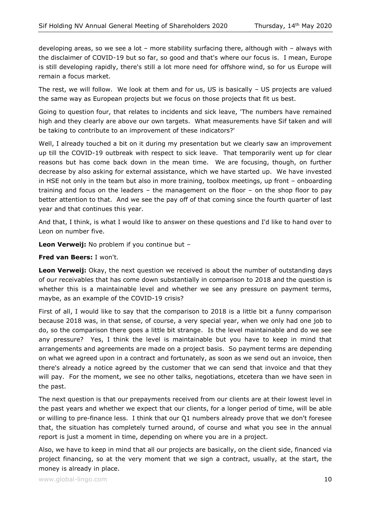developing areas, so we see a lot – more stability surfacing there, although with – always with the disclaimer of COVID-19 but so far, so good and that's where our focus is. I mean, Europe is still developing rapidly, there's still a lot more need for offshore wind, so for us Europe will remain a focus market.

The rest, we will follow. We look at them and for us, US is basically – US projects are valued the same way as European projects but we focus on those projects that fit us best.

Going to question four, that relates to incidents and sick leave, 'The numbers have remained high and they clearly are above our own targets. What measurements have Sif taken and will be taking to contribute to an improvement of these indicators?'

Well, I already touched a bit on it during my presentation but we clearly saw an improvement up till the COVID-19 outbreak with respect to sick leave. That temporarily went up for clear reasons but has come back down in the mean time. We are focusing, though, on further decrease by also asking for external assistance, which we have started up. We have invested in HSE not only in the team but also in more training, toolbox meetings, up front – onboarding training and focus on the leaders – the management on the floor – on the shop floor to pay better attention to that. And we see the pay off of that coming since the fourth quarter of last year and that continues this year.

And that, I think, is what I would like to answer on these questions and I'd like to hand over to Leon on number five.

**Leon Verweij:** No problem if you continue but –

**Fred van Beers:** I won't.

**Leon Verweij:** Okay, the next question we received is about the number of outstanding days of our receivables that has come down substantially in comparison to 2018 and the question is whether this is a maintainable level and whether we see any pressure on payment terms, maybe, as an example of the COVID-19 crisis?

First of all, I would like to say that the comparison to 2018 is a little bit a funny comparison because 2018 was, in that sense, of course, a very special year, when we only had one job to do, so the comparison there goes a little bit strange. Is the level maintainable and do we see any pressure? Yes, I think the level is maintainable but you have to keep in mind that arrangements and agreements are made on a project basis. So payment terms are depending on what we agreed upon in a contract and fortunately, as soon as we send out an invoice, then there's already a notice agreed by the customer that we can send that invoice and that they will pay. For the moment, we see no other talks, negotiations, etcetera than we have seen in the past.

The next question is that our prepayments received from our clients are at their lowest level in the past years and whether we expect that our clients, for a longer period of time, will be able or willing to pre-finance less. I think that our Q1 numbers already prove that we don't foresee that, the situation has completely turned around, of course and what you see in the annual report is just a moment in time, depending on where you are in a project.

Also, we have to keep in mind that all our projects are basically, on the client side, financed via project financing, so at the very moment that we sign a contract, usually, at the start, the money is already in place.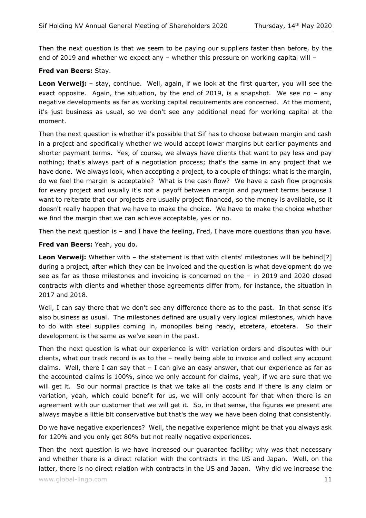Then the next question is that we seem to be paying our suppliers faster than before, by the end of 2019 and whether we expect any – whether this pressure on working capital will –

#### **Fred van Beers:** Stay.

**Leon Verweij:** – stay, continue. Well, again, if we look at the first quarter, you will see the exact opposite. Again, the situation, by the end of 2019, is a snapshot. We see no  $-$  any negative developments as far as working capital requirements are concerned. At the moment, it's just business as usual, so we don't see any additional need for working capital at the moment.

Then the next question is whether it's possible that Sif has to choose between margin and cash in a project and specifically whether we would accept lower margins but earlier payments and shorter payment terms. Yes, of course, we always have clients that want to pay less and pay nothing; that's always part of a negotiation process; that's the same in any project that we have done. We always look, when accepting a project, to a couple of things: what is the margin, do we feel the margin is acceptable? What is the cash flow? We have a cash flow prognosis for every project and usually it's not a payoff between margin and payment terms because I want to reiterate that our projects are usually project financed, so the money is available, so it doesn't really happen that we have to make the choice. We have to make the choice whether we find the margin that we can achieve acceptable, yes or no.

Then the next question is – and I have the feeling, Fred, I have more questions than you have.

**Fred van Beers:** Yeah, you do.

**Leon Verweij:** Whether with - the statement is that with clients' milestones will be behind<sup>[?]</sup> during a project, after which they can be invoiced and the question is what development do we see as far as those milestones and invoicing is concerned on the – in 2019 and 2020 closed contracts with clients and whether those agreements differ from, for instance, the situation in 2017 and 2018.

Well, I can say there that we don't see any difference there as to the past. In that sense it's also business as usual. The milestones defined are usually very logical milestones, which have to do with steel supplies coming in, monopiles being ready, etcetera, etcetera. So their development is the same as we've seen in the past.

Then the next question is what our experience is with variation orders and disputes with our clients, what our track record is as to the – really being able to invoice and collect any account claims. Well, there I can say that  $-$  I can give an easy answer, that our experience as far as the accounted claims is 100%, since we only account for claims, yeah, if we are sure that we will get it. So our normal practice is that we take all the costs and if there is any claim or variation, yeah, which could benefit for us, we will only account for that when there is an agreement with our customer that we will get it. So, in that sense, the figures we present are always maybe a little bit conservative but that's the way we have been doing that consistently.

Do we have negative experiences? Well, the negative experience might be that you always ask for 120% and you only get 80% but not really negative experiences.

Then the next question is we have increased our guarantee facility; why was that necessary and whether there is a direct relation with the contracts in the US and Japan. Well, on the latter, there is no direct relation with contracts in the US and Japan. Why did we increase the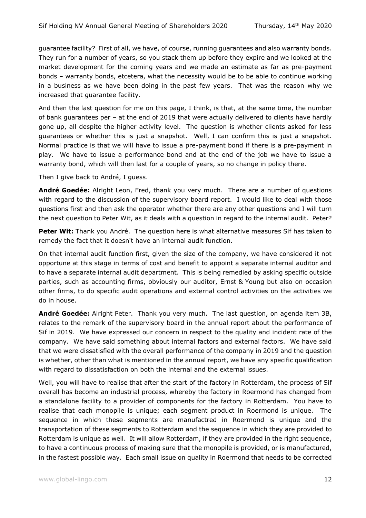guarantee facility? First of all, we have, of course, running guarantees and also warranty bonds. They run for a number of years, so you stack them up before they expire and we looked at the market development for the coming years and we made an estimate as far as pre-payment bonds – warranty bonds, etcetera, what the necessity would be to be able to continue working in a business as we have been doing in the past few years. That was the reason why we increased that guarantee facility.

And then the last question for me on this page, I think, is that, at the same time, the number of bank guarantees per – at the end of 2019 that were actually delivered to clients have hardly gone up, all despite the higher activity level. The question is whether clients asked for less guarantees or whether this is just a snapshot. Well, I can confirm this is just a snapshot. Normal practice is that we will have to issue a pre-payment bond if there is a pre-payment in play. We have to issue a performance bond and at the end of the job we have to issue a warranty bond, which will then last for a couple of years, so no change in policy there.

Then I give back to André, I guess.

**André Goedée:** Alright Leon, Fred, thank you very much. There are a number of questions with regard to the discussion of the supervisory board report. I would like to deal with those questions first and then ask the operator whether there are any other questions and I will turn the next question to Peter Wit, as it deals with a question in regard to the internal audit. Peter?

**Peter Wit:** Thank you André. The question here is what alternative measures Sif has taken to remedy the fact that it doesn't have an internal audit function.

On that internal audit function first, given the size of the company, we have considered it not opportune at this stage in terms of cost and benefit to appoint a separate internal auditor and to have a separate internal audit department. This is being remedied by asking specific outside parties, such as accounting firms, obviously our auditor, Ernst & Young but also on occasion other firms, to do specific audit operations and external control activities on the activities we do in house.

**André Goedée:** Alright Peter. Thank you very much. The last question, on agenda item 3B, relates to the remark of the supervisory board in the annual report about the performance of Sif in 2019. We have expressed our concern in respect to the quality and incident rate of the company. We have said something about internal factors and external factors. We have said that we were dissatisfied with the overall performance of the company in 2019 and the question is whether, other than what is mentioned in the annual report, we have any specific qualification with regard to dissatisfaction on both the internal and the external issues.

Well, you will have to realise that after the start of the factory in Rotterdam, the process of Sif overall has become an industrial process, whereby the factory in Roermond has changed from a standalone facility to a provider of components for the factory in Rotterdam. You have to realise that each monopile is unique; each segment product in Roermond is unique. The sequence in which these segments are manufactred in Roermond is unique and the transportation of these segments to Rotterdam and the sequence in which they are provided to Rotterdam is unique as well. It will allow Rotterdam, if they are provided in the right sequence, to have a continuous process of making sure that the monopile is provided, or is manufactured, in the fastest possible way. Each small issue on quality in Roermond that needs to be corrected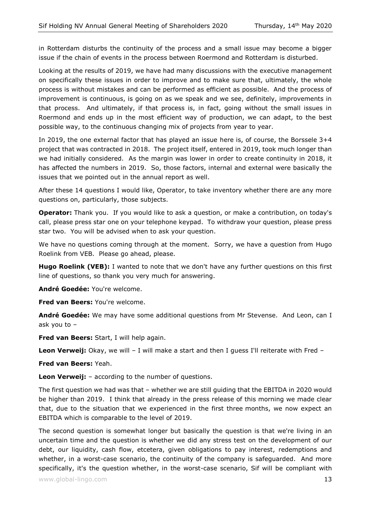in Rotterdam disturbs the continuity of the process and a small issue may become a bigger issue if the chain of events in the process between Roermond and Rotterdam is disturbed.

Looking at the results of 2019, we have had many discussions with the executive management on specifically these issues in order to improve and to make sure that, ultimately, the whole process is without mistakes and can be performed as efficient as possible. And the process of improvement is continuous, is going on as we speak and we see, definitely, improvements in that process. And ultimately, if that process is, in fact, going without the small issues in Roermond and ends up in the most efficient way of production, we can adapt, to the best possible way, to the continuous changing mix of projects from year to year.

In 2019, the one external factor that has played an issue here is, of course, the Borssele 3+4 project that was contracted in 2018. The project itself, entered in 2019, took much longer than we had initially considered. As the margin was lower in order to create continuity in 2018, it has affected the numbers in 2019. So, those factors, internal and external were basically the issues that we pointed out in the annual report as well.

After these 14 questions I would like, Operator, to take inventory whether there are any more questions on, particularly, those subjects.

**Operator:** Thank you. If you would like to ask a question, or make a contribution, on today's call, please press star one on your telephone keypad. To withdraw your question, please press star two. You will be advised when to ask your question.

We have no questions coming through at the moment. Sorry, we have a question from Hugo Roelink from VEB. Please go ahead, please.

**Hugo Roelink (VEB):** I wanted to note that we don't have any further questions on this first line of questions, so thank you very much for answering.

**André Goedée:** You're welcome.

**Fred van Beers:** You're welcome.

**André Goedée:** We may have some additional questions from Mr Stevense. And Leon, can I ask you to –

**Fred van Beers:** Start, I will help again.

**Leon Verweij:** Okay, we will - I will make a start and then I guess I'll reiterate with Fred -

**Fred van Beers:** Yeah.

**Leon Verweij:** – according to the number of questions.

The first question we had was that – whether we are still guiding that the EBITDA in 2020 would be higher than 2019. I think that already in the press release of this morning we made clear that, due to the situation that we experienced in the first three months, we now expect an EBITDA which is comparable to the level of 2019.

The second question is somewhat longer but basically the question is that we're living in an uncertain time and the question is whether we did any stress test on the development of our debt, our liquidity, cash flow, etcetera, given obligations to pay interest, redemptions and whether, in a worst-case scenario, the continuity of the company is safeguarded. And more specifically, it's the question whether, in the worst-case scenario, Sif will be compliant with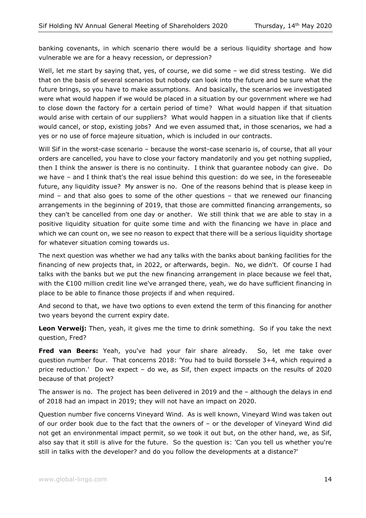banking covenants, in which scenario there would be a serious liquidity shortage and how vulnerable we are for a heavy recession, or depression?

Well, let me start by saying that, yes, of course, we did some - we did stress testing. We did that on the basis of several scenarios but nobody can look into the future and be sure what the future brings, so you have to make assumptions. And basically, the scenarios we investigated were what would happen if we would be placed in a situation by our government where we had to close down the factory for a certain period of time? What would happen if that situation would arise with certain of our suppliers? What would happen in a situation like that if clients would cancel, or stop, existing jobs? And we even assumed that, in those scenarios, we had a yes or no use of force majeure situation, which is included in our contracts.

Will Sif in the worst-case scenario – because the worst-case scenario is, of course, that all your orders are cancelled, you have to close your factory mandatorily and you get nothing supplied, then I think the answer is there is no continuity. I think that guarantee nobody can give. Do we have – and I think that's the real issue behind this question: do we see, in the foreseeable future, any liquidity issue? My answer is no. One of the reasons behind that is please keep in mind – and that also goes to some of the other questions – that we renewed our financing arrangements in the beginning of 2019, that those are committed financing arrangements, so they can't be cancelled from one day or another. We still think that we are able to stay in a positive liquidity situation for quite some time and with the financing we have in place and which we can count on, we see no reason to expect that there will be a serious liquidity shortage for whatever situation coming towards us.

The next question was whether we had any talks with the banks about banking facilities for the financing of new projects that, in 2022, or afterwards, begin. No, we didn't. Of course I had talks with the banks but we put the new financing arrangement in place because we feel that, with the €100 million credit line we've arranged there, yeah, we do have sufficient financing in place to be able to finance those projects if and when required.

And second to that, we have two options to even extend the term of this financing for another two years beyond the current expiry date.

**Leon Verweij:** Then, yeah, it gives me the time to drink something. So if you take the next question, Fred?

**Fred van Beers:** Yeah, you've had your fair share already. So, let me take over question number four. That concerns 2018: 'You had to build Borssele 3+4, which required a price reduction.' Do we expect – do we, as Sif, then expect impacts on the results of 2020 because of that project?

The answer is no. The project has been delivered in 2019 and the – although the delays in end of 2018 had an impact in 2019; they will not have an impact on 2020.

Question number five concerns Vineyard Wind. As is well known, Vineyard Wind was taken out of our order book due to the fact that the owners of – or the developer of Vineyard Wind did not get an environmental impact permit, so we took it out but, on the other hand, we, as Sif, also say that it still is alive for the future. So the question is: 'Can you tell us whether you're still in talks with the developer? and do you follow the developments at a distance?'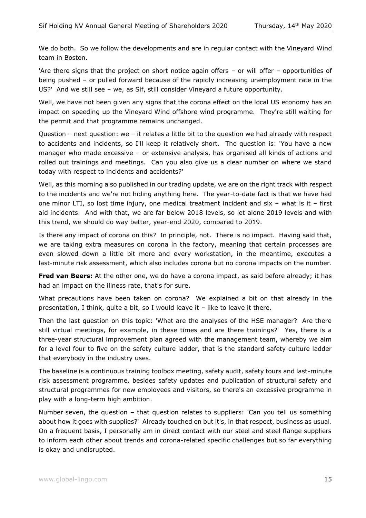We do both. So we follow the developments and are in regular contact with the Vineyard Wind team in Boston.

'Are there signs that the project on short notice again offers – or will offer – opportunities of being pushed – or pulled forward because of the rapidly increasing unemployment rate in the US?' And we still see – we, as Sif, still consider Vineyard a future opportunity.

Well, we have not been given any signs that the corona effect on the local US economy has an impact on speeding up the Vineyard Wind offshore wind programme. They're still waiting for the permit and that programme remains unchanged.

Question – next question: we – it relates a little bit to the question we had already with respect to accidents and incidents, so I'll keep it relatively short. The question is: 'You have a new manager who made excessive – or extensive analysis, has organised all kinds of actions and rolled out trainings and meetings. Can you also give us a clear number on where we stand today with respect to incidents and accidents?'

Well, as this morning also published in our trading update, we are on the right track with respect to the incidents and we're not hiding anything here. The year-to-date fact is that we have had one minor LTI, so lost time injury, one medical treatment incident and six – what is it – first aid incidents. And with that, we are far below 2018 levels, so let alone 2019 levels and with this trend, we should do way better, year-end 2020, compared to 2019.

Is there any impact of corona on this? In principle, not. There is no impact. Having said that, we are taking extra measures on corona in the factory, meaning that certain processes are even slowed down a little bit more and every workstation, in the meantime, executes a last-minute risk assessment, which also includes corona but no corona impacts on the number.

**Fred van Beers:** At the other one, we do have a corona impact, as said before already; it has had an impact on the illness rate, that's for sure.

What precautions have been taken on corona? We explained a bit on that already in the presentation, I think, quite a bit, so I would leave it – like to leave it there.

Then the last question on this topic: 'What are the analyses of the HSE manager? Are there still virtual meetings, for example, in these times and are there trainings?' Yes, there is a three-year structural improvement plan agreed with the management team, whereby we aim for a level four to five on the safety culture ladder, that is the standard safety culture ladder that everybody in the industry uses.

The baseline is a continuous training toolbox meeting, safety audit, safety tours and last-minute risk assessment programme, besides safety updates and publication of structural safety and structural programmes for new employees and visitors, so there's an excessive programme in play with a long-term high ambition.

Number seven, the question – that question relates to suppliers: 'Can you tell us something about how it goes with supplies?' Already touched on but it's, in that respect, business as usual. On a frequent basis, I personally am in direct contact with our steel and steel flange suppliers to inform each other about trends and corona-related specific challenges but so far everything is okay and undisrupted.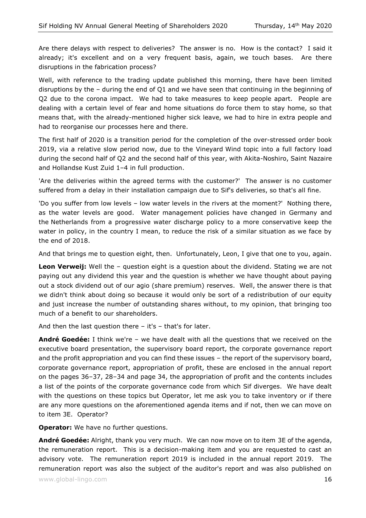Are there delays with respect to deliveries? The answer is no. How is the contact? I said it already; it's excellent and on a very frequent basis, again, we touch bases. Are there disruptions in the fabrication process?

Well, with reference to the trading update published this morning, there have been limited disruptions by the – during the end of Q1 and we have seen that continuing in the beginning of Q2 due to the corona impact. We had to take measures to keep people apart. People are dealing with a certain level of fear and home situations do force them to stay home, so that means that, with the already-mentioned higher sick leave, we had to hire in extra people and had to reorganise our processes here and there.

The first half of 2020 is a transition period for the completion of the over-stressed order book 2019, via a relative slow period now, due to the Vineyard Wind topic into a full factory load during the second half of Q2 and the second half of this year, with Akita-Noshiro, Saint Nazaire and Hollandse Kust Zuid 1–4 in full production.

'Are the deliveries within the agreed terms with the customer?' The answer is no customer suffered from a delay in their installation campaign due to Sif's deliveries, so that's all fine.

'Do you suffer from low levels – low water levels in the rivers at the moment?' Nothing there, as the water levels are good. Water management policies have changed in Germany and the Netherlands from a progressive water discharge policy to a more conservative keep the water in policy, in the country I mean, to reduce the risk of a similar situation as we face by the end of 2018.

And that brings me to question eight, then. Unfortunately, Leon, I give that one to you, again.

**Leon Verweij:** Well the – question eight is a question about the dividend. Stating we are not paying out any dividend this year and the question is whether we have thought about paying out a stock dividend out of our agio (share premium) reserves. Well, the answer there is that we didn't think about doing so because it would only be sort of a redistribution of our equity and just increase the number of outstanding shares without, to my opinion, that bringing too much of a benefit to our shareholders.

And then the last question there  $-$  it's  $-$  that's for later.

**André Goedée:** I think we're – we have dealt with all the questions that we received on the executive board presentation, the supervisory board report, the corporate governance report and the profit appropriation and you can find these issues – the report of the supervisory board, corporate governance report, appropriation of profit, these are enclosed in the annual report on the pages 36–37, 28–34 and page 34, the appropriation of profit and the contents includes a list of the points of the corporate governance code from which Sif diverges. We have dealt with the questions on these topics but Operator, let me ask you to take inventory or if there are any more questions on the aforementioned agenda items and if not, then we can move on to item 3E. Operator?

**Operator:** We have no further questions.

**André Goedée:** Alright, thank you very much. We can now move on to item 3E of the agenda, the remuneration report. This is a decision-making item and you are requested to cast an advisory vote. The remuneration report 2019 is included in the annual report 2019. The remuneration report was also the subject of the auditor's report and was also published on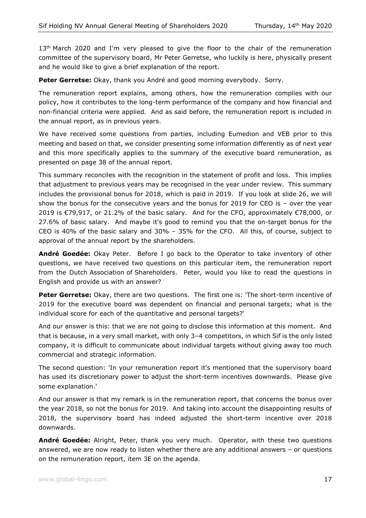$13<sup>th</sup>$  March 2020 and I'm very pleased to give the floor to the chair of the remuneration committee of the supervisory board, Mr Peter Gerretse, who luckily is here, physically present and he would like to give a brief explanation of the report.

**Peter Gerretse:** Okay, thank you André and good morning everybody. Sorry.

The remuneration report explains, among others, how the remuneration complies with our policy, how it contributes to the long-term performance of the company and how financial and non-financial criteria were applied. And as said before, the remuneration report is included in the annual report, as in previous years.

We have received some questions from parties, including Eumedion and VEB prior to this meeting and based on that, we consider presenting some information differently as of next year and this more specifically applies to the summary of the executive board remuneration, as presented on page 38 of the annual report.

This summary reconciles with the recognition in the statement of profit and loss. This implies that adjustment to previous years may be recognised in the year under review. This summary includes the provisional bonus for 2018, which is paid in 2019. If you look at slide 26, we will show the bonus for the consecutive years and the bonus for 2019 for CEO is – over the year 2019 is €79,917, or 21.2% of the basic salary. And for the CFO, approximately €78,000, or 27.6% of basic salary. And maybe it's good to remind you that the on-target bonus for the CEO is 40% of the basic salary and 30% – 35% for the CFO. All this, of course, subject to approval of the annual report by the shareholders.

**André Goedée:** Okay Peter. Before I go back to the Operator to take inventory of other questions, we have received two questions on this particular item, the remuneration report from the Dutch Association of Shareholders. Peter, would you like to read the questions in English and provide us with an answer?

**Peter Gerretse:** Okay, there are two questions. The first one is: 'The short-term incentive of 2019 for the executive board was dependent on financial and personal targets; what is the individual score for each of the quantitative and personal targets?'

And our answer is this: that we are not going to disclose this information at this moment. And that is because, in a very small market, with only 3–4 competitors, in which Sif is the only listed company, it is difficult to communicate about individual targets without giving away too much commercial and strategic information.

The second question: 'In your remuneration report it's mentioned that the supervisory board has used its discretionary power to adjust the short-term incentives downwards. Please give some explanation.'

And our answer is that my remark is in the remuneration report, that concerns the bonus over the year 2018, so not the bonus for 2019. And taking into account the disappointing results of 2018, the supervisory board has indeed adjusted the short-term incentive over 2018 downwards.

**André Goedée:** Alright, Peter, thank you very much. Operator, with these two questions answered, we are now ready to listen whether there are any additional answers – or questions on the remuneration report, item 3E on the agenda.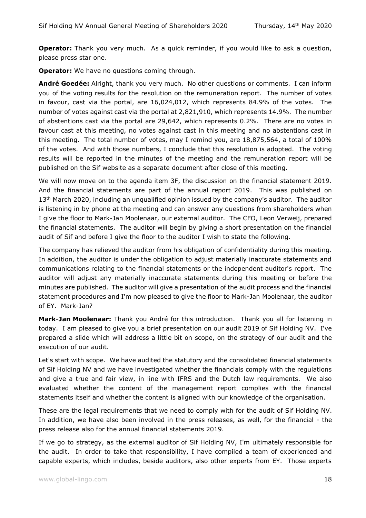**Operator:** Thank you very much. As a quick reminder, if you would like to ask a question, please press star one.

**Operator:** We have no questions coming through.

**André Goedée:** Alright, thank you very much. No other questions or comments. I can inform you of the voting results for the resolution on the remuneration report. The number of votes in favour, cast via the portal, are 16,024,012, which represents 84.9% of the votes. The number of votes against cast via the portal at 2,821,910, which represents 14.9%. The number of abstentions cast via the portal are 29,642, which represents 0.2%. There are no votes in favour cast at this meeting, no votes against cast in this meeting and no abstentions cast in this meeting. The total number of votes, may I remind you, are 18,875,564, a total of 100% of the votes. And with those numbers, I conclude that this resolution is adopted. The voting results will be reported in the minutes of the meeting and the remuneration report will be published on the Sif website as a separate document after close of this meeting.

We will now move on to the agenda item 3F, the discussion on the financial statement 2019. And the financial statements are part of the annual report 2019. This was published on  $13<sup>th</sup>$  March 2020, including an unqualified opinion issued by the company's auditor. The auditor is listening in by phone at the meeting and can answer any questions from shareholders when I give the floor to Mark-Jan Moolenaar, our external auditor. The CFO, Leon Verweij, prepared the financial statements. The auditor will begin by giving a short presentation on the financial audit of Sif and before I give the floor to the auditor I wish to state the following.

The company has relieved the auditor from his obligation of confidentiality during this meeting. In addition, the auditor is under the obligation to adjust materially inaccurate statements and communications relating to the financial statements or the independent auditor's report. The auditor will adjust any materially inaccurate statements during this meeting or before the minutes are published. The auditor will give a presentation of the audit process and the financial statement procedures and I'm now pleased to give the floor to Mark-Jan Moolenaar, the auditor of EY. Mark-Jan?

**Mark-Jan Moolenaar:** Thank you André for this introduction. Thank you all for listening in today. I am pleased to give you a brief presentation on our audit 2019 of Sif Holding NV. I've prepared a slide which will address a little bit on scope, on the strategy of our audit and the execution of our audit.

Let's start with scope. We have audited the statutory and the consolidated financial statements of Sif Holding NV and we have investigated whether the financials comply with the regulations and give a true and fair view, in line with IFRS and the Dutch law requirements. We also evaluated whether the content of the management report complies with the financial statements itself and whether the content is aligned with our knowledge of the organisation.

These are the legal requirements that we need to comply with for the audit of Sif Holding NV. In addition, we have also been involved in the press releases, as well, for the financial - the press release also for the annual financial statements 2019.

If we go to strategy, as the external auditor of Sif Holding NV, I'm ultimately responsible for the audit. In order to take that responsibility, I have compiled a team of experienced and capable experts, which includes, beside auditors, also other experts from EY. Those experts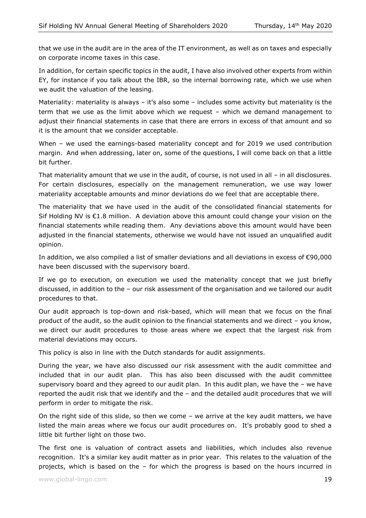that we use in the audit are in the area of the IT environment, as well as on taxes and especially on corporate income taxes in this case.

In addition, for certain specific topics in the audit, I have also involved other experts from within EY, for instance if you talk about the IBR, so the internal borrowing rate, which we use when we audit the valuation of the leasing.

Materiality: materiality is always – it's also some – includes some activity but materiality is the term that we use as the limit above which we request – which we demand management to adjust their financial statements in case that there are errors in excess of that amount and so it is the amount that we consider acceptable.

When – we used the earnings-based materiality concept and for 2019 we used contribution margin. And when addressing, later on, some of the questions, I will come back on that a little bit further.

That materiality amount that we use in the audit, of course, is not used in all – in all disclosures. For certain disclosures, especially on the management remuneration, we use way lower materiality acceptable amounts and minor deviations do we feel that are acceptable there.

The materiality that we have used in the audit of the consolidated financial statements for Sif Holding NV is €1.8 million. A deviation above this amount could change your vision on the financial statements while reading them. Any deviations above this amount would have been adjusted in the financial statements, otherwise we would have not issued an unqualified audit opinion.

In addition, we also compiled a list of smaller deviations and all deviations in excess of €90,000 have been discussed with the supervisory board.

If we go to execution, on execution we used the materiality concept that we just briefly discussed, in addition to the – our risk assessment of the organisation and we tailored our audit procedures to that.

Our audit approach is top-down and risk-based, which will mean that we focus on the final product of the audit, so the audit opinion to the financial statements and we direct – you know, we direct our audit procedures to those areas where we expect that the largest risk from material deviations may occurs.

This policy is also in line with the Dutch standards for audit assignments.

During the year, we have also discussed our risk assessment with the audit committee and included that in our audit plan. This has also been discussed with the audit committee supervisory board and they agreed to our audit plan. In this audit plan, we have the – we have reported the audit risk that we identify and the – and the detailed audit procedures that we will perform in order to mitigate the risk.

On the right side of this slide, so then we come – we arrive at the key audit matters, we have listed the main areas where we focus our audit procedures on. It's probably good to shed a little bit further light on those two.

The first one is valuation of contract assets and liabilities, which includes also revenue recognition. It's a similar key audit matter as in prior year. This relates to the valuation of the projects, which is based on the – for which the progress is based on the hours incurred in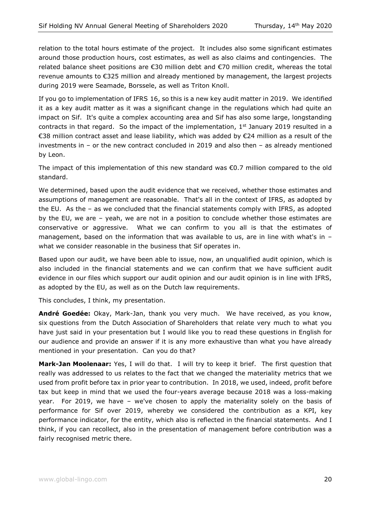relation to the total hours estimate of the project. It includes also some significant estimates around those production hours, cost estimates, as well as also claims and contingencies. The related balance sheet positions are €30 million debt and €70 million credit, whereas the total revenue amounts to €325 million and already mentioned by management, the largest projects during 2019 were Seamade, Borssele, as well as Triton Knoll.

If you go to implementation of IFRS 16, so this is a new key audit matter in 2019. We identified it as a key audit matter as it was a significant change in the regulations which had quite an impact on Sif. It's quite a complex accounting area and Sif has also some large, longstanding contracts in that regard. So the impact of the implementation,  $1<sup>st</sup>$  January 2019 resulted in a €38 million contract asset and lease liability, which was added by €24 million as a result of the investments in – or the new contract concluded in 2019 and also then – as already mentioned by Leon.

The impact of this implementation of this new standard was €0.7 million compared to the old standard.

We determined, based upon the audit evidence that we received, whether those estimates and assumptions of management are reasonable. That's all in the context of IFRS, as adopted by the EU. As the – as we concluded that the financial statements comply with IFRS, as adopted by the EU, we are – yeah, we are not in a position to conclude whether those estimates are conservative or aggressive. What we can confirm to you all is that the estimates of management, based on the information that was available to us, are in line with what's in – what we consider reasonable in the business that Sif operates in.

Based upon our audit, we have been able to issue, now, an unqualified audit opinion, which is also included in the financial statements and we can confirm that we have sufficient audit evidence in our files which support our audit opinion and our audit opinion is in line with IFRS, as adopted by the EU, as well as on the Dutch law requirements.

This concludes, I think, my presentation.

**André Goedée:** Okay, Mark-Jan, thank you very much. We have received, as you know, six questions from the Dutch Association of Shareholders that relate very much to what you have just said in your presentation but I would like you to read these questions in English for our audience and provide an answer if it is any more exhaustive than what you have already mentioned in your presentation. Can you do that?

**Mark-Jan Moolenaar:** Yes, I will do that. I will try to keep it brief. The first question that really was addressed to us relates to the fact that we changed the materiality metrics that we used from profit before tax in prior year to contribution. In 2018, we used, indeed, profit before tax but keep in mind that we used the four-years average because 2018 was a loss-making year. For 2019, we have – we've chosen to apply the materiality solely on the basis of performance for Sif over 2019, whereby we considered the contribution as a KPI, key performance indicator, for the entity, which also is reflected in the financial statements. And I think, if you can recollect, also in the presentation of management before contribution was a fairly recognised metric there.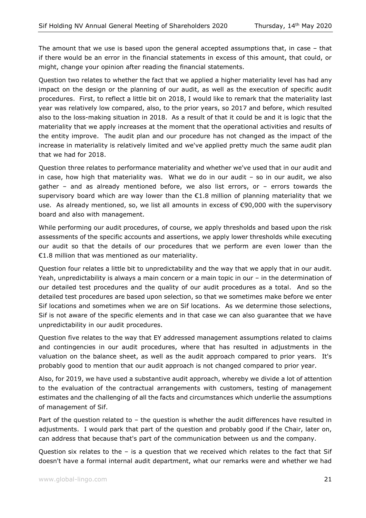The amount that we use is based upon the general accepted assumptions that, in case – that if there would be an error in the financial statements in excess of this amount, that could, or might, change your opinion after reading the financial statements.

Question two relates to whether the fact that we applied a higher materiality level has had any impact on the design or the planning of our audit, as well as the execution of specific audit procedures. First, to reflect a little bit on 2018, I would like to remark that the materiality last year was relatively low compared, also, to the prior years, so 2017 and before, which resulted also to the loss-making situation in 2018. As a result of that it could be and it is logic that the materiality that we apply increases at the moment that the operational activities and results of the entity improve. The audit plan and our procedure has not changed as the impact of the increase in materiality is relatively limited and we've applied pretty much the same audit plan that we had for 2018.

Question three relates to performance materiality and whether we've used that in our audit and in case, how high that materiality was. What we do in our audit – so in our audit, we also gather – and as already mentioned before, we also list errors, or – errors towards the supervisory board which are way lower than the  $E1.8$  million of planning materiality that we use. As already mentioned, so, we list all amounts in excess of  $\epsilon$ 90,000 with the supervisory board and also with management.

While performing our audit procedures, of course, we apply thresholds and based upon the risk assessments of the specific accounts and assertions, we apply lower thresholds while executing our audit so that the details of our procedures that we perform are even lower than the €1.8 million that was mentioned as our materiality.

Question four relates a little bit to unpredictability and the way that we apply that in our audit. Yeah, unpredictability is always a main concern or a main topic in our – in the determination of our detailed test procedures and the quality of our audit procedures as a total. And so the detailed test procedures are based upon selection, so that we sometimes make before we enter Sif locations and sometimes when we are on Sif locations. As we determine those selections, Sif is not aware of the specific elements and in that case we can also guarantee that we have unpredictability in our audit procedures.

Question five relates to the way that EY addressed management assumptions related to claims and contingencies in our audit procedures, where that has resulted in adjustments in the valuation on the balance sheet, as well as the audit approach compared to prior years. It's probably good to mention that our audit approach is not changed compared to prior year.

Also, for 2019, we have used a substantive audit approach, whereby we divide a lot of attention to the evaluation of the contractual arrangements with customers, testing of management estimates and the challenging of all the facts and circumstances which underlie the assumptions of management of Sif.

Part of the question related to - the question is whether the audit differences have resulted in adjustments. I would park that part of the question and probably good if the Chair, later on, can address that because that's part of the communication between us and the company.

Question six relates to the – is a question that we received which relates to the fact that Sif doesn't have a formal internal audit department, what our remarks were and whether we had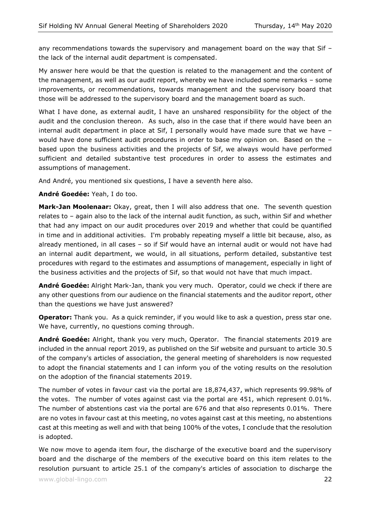any recommendations towards the supervisory and management board on the way that Sif – the lack of the internal audit department is compensated.

My answer here would be that the question is related to the management and the content of the management, as well as our audit report, whereby we have included some remarks – some improvements, or recommendations, towards management and the supervisory board that those will be addressed to the supervisory board and the management board as such.

What I have done, as external audit, I have an unshared responsibility for the object of the audit and the conclusion thereon. As such, also in the case that if there would have been an internal audit department in place at Sif, I personally would have made sure that we have – would have done sufficient audit procedures in order to base my opinion on. Based on the – based upon the business activities and the projects of Sif, we always would have performed sufficient and detailed substantive test procedures in order to assess the estimates and assumptions of management.

And André, you mentioned six questions, I have a seventh here also.

**André Goedée:** Yeah, I do too.

**Mark-Jan Moolenaar:** Okay, great, then I will also address that one. The seventh question relates to – again also to the lack of the internal audit function, as such, within Sif and whether that had any impact on our audit procedures over 2019 and whether that could be quantified in time and in additional activities. I'm probably repeating myself a little bit because, also, as already mentioned, in all cases – so if Sif would have an internal audit or would not have had an internal audit department, we would, in all situations, perform detailed, substantive test procedures with regard to the estimates and assumptions of management, especially in light of the business activities and the projects of Sif, so that would not have that much impact.

**André Goedée:** Alright Mark-Jan, thank you very much. Operator, could we check if there are any other questions from our audience on the financial statements and the auditor report, other than the questions we have just answered?

**Operator:** Thank you. As a quick reminder, if you would like to ask a question, press star one. We have, currently, no questions coming through.

**André Goedée:** Alright, thank you very much, Operator. The financial statements 2019 are included in the annual report 2019, as published on the Sif website and pursuant to article 30.5 of the company's articles of association, the general meeting of shareholders is now requested to adopt the financial statements and I can inform you of the voting results on the resolution on the adoption of the financial statements 2019.

The number of votes in favour cast via the portal are 18,874,437, which represents 99.98% of the votes. The number of votes against cast via the portal are 451, which represent 0.01%. The number of abstentions cast via the portal are 676 and that also represents 0.01%. There are no votes in favour cast at this meeting, no votes against cast at this meeting, no abstentions cast at this meeting as well and with that being 100% of the votes, I conclude that the resolution is adopted.

We now move to agenda item four, the discharge of the executive board and the supervisory board and the discharge of the members of the executive board on this item relates to the resolution pursuant to article 25.1 of the company's articles of association to discharge the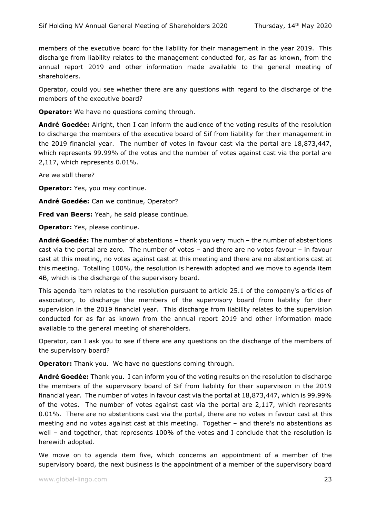members of the executive board for the liability for their management in the year 2019. This discharge from liability relates to the management conducted for, as far as known, from the annual report 2019 and other information made available to the general meeting of shareholders.

Operator, could you see whether there are any questions with regard to the discharge of the members of the executive board?

**Operator:** We have no questions coming through.

**André Goedée:** Alright, then I can inform the audience of the voting results of the resolution to discharge the members of the executive board of Sif from liability for their management in the 2019 financial year. The number of votes in favour cast via the portal are 18,873,447, which represents 99.99% of the votes and the number of votes against cast via the portal are 2,117, which represents 0.01%.

Are we still there?

**Operator:** Yes, you may continue.

**André Goedée:** Can we continue, Operator?

**Fred van Beers:** Yeah, he said please continue.

**Operator:** Yes, please continue.

**André Goedée:** The number of abstentions – thank you very much – the number of abstentions cast via the portal are zero. The number of votes – and there are no votes favour – in favour cast at this meeting, no votes against cast at this meeting and there are no abstentions cast at this meeting. Totalling 100%, the resolution is herewith adopted and we move to agenda item 4B, which is the discharge of the supervisory board.

This agenda item relates to the resolution pursuant to article 25.1 of the company's articles of association, to discharge the members of the supervisory board from liability for their supervision in the 2019 financial year. This discharge from liability relates to the supervision conducted for as far as known from the annual report 2019 and other information made available to the general meeting of shareholders.

Operator, can I ask you to see if there are any questions on the discharge of the members of the supervisory board?

**Operator:** Thank you. We have no questions coming through.

**André Goedée:** Thank you. I can inform you of the voting results on the resolution to discharge the members of the supervisory board of Sif from liability for their supervision in the 2019 financial year. The number of votes in favour cast via the portal at 18,873,447, which is 99.99% of the votes. The number of votes against cast via the portal are 2,117, which represents 0.01%. There are no abstentions cast via the portal, there are no votes in favour cast at this meeting and no votes against cast at this meeting. Together – and there's no abstentions as well – and together, that represents 100% of the votes and I conclude that the resolution is herewith adopted.

We move on to agenda item five, which concerns an appointment of a member of the supervisory board, the next business is the appointment of a member of the supervisory board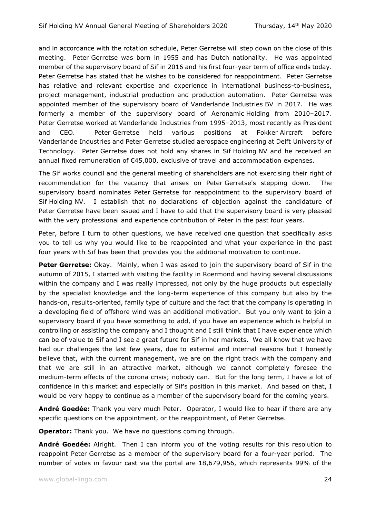and in accordance with the rotation schedule, Peter Gerretse will step down on the close of this meeting. Peter Gerretse was born in 1955 and has Dutch nationality. He was appointed member of the supervisory board of Sif in 2016 and his first four-year term of office ends today. Peter Gerretse has stated that he wishes to be considered for reappointment. Peter Gerretse has relative and relevant expertise and experience in international business-to-business, project management, industrial production and production automation. Peter Gerretse was appointed member of the supervisory board of Vanderlande Industries BV in 2017. He was formerly a member of the supervisory board of Aeronamic Holding from 2010–2017. Peter Gerretse worked at Vanderlande Industries from 1995–2013, most recently as President and CEO. Peter Gerretse held various positions at Fokker Aircraft before Vanderlande Industries and Peter Gerretse studied aerospace engineering at Delft University of Technology. Peter Gerretse does not hold any shares in Sif Holding NV and he received an annual fixed remuneration of €45,000, exclusive of travel and accommodation expenses.

The Sif works council and the general meeting of shareholders are not exercising their right of recommendation for the vacancy that arises on Peter Gerretse's stepping down. The supervisory board nominates Peter Gerretse for reappointment to the supervisory board of Sif Holding NV. I establish that no declarations of objection against the candidature of Peter Gerretse have been issued and I have to add that the supervisory board is very pleased with the very professional and experience contribution of Peter in the past four years.

Peter, before I turn to other questions, we have received one question that specifically asks you to tell us why you would like to be reappointed and what your experience in the past four years with Sif has been that provides you the additional motivation to continue.

**Peter Gerretse:** Okay. Mainly, when I was asked to join the supervisory board of Sif in the autumn of 2015, I started with visiting the facility in Roermond and having several discussions within the company and I was really impressed, not only by the huge products but especially by the specialist knowledge and the long-term experience of this company but also by the hands-on, results-oriented, family type of culture and the fact that the company is operating in a developing field of offshore wind was an additional motivation. But you only want to join a supervisory board if you have something to add, if you have an experience which is helpful in controlling or assisting the company and I thought and I still think that I have experience which can be of value to Sif and I see a great future for Sif in her markets. We all know that we have had our challenges the last few years, due to external and internal reasons but I honestly believe that, with the current management, we are on the right track with the company and that we are still in an attractive market, although we cannot completely foresee the medium-term effects of the corona crisis; nobody can. But for the long term, I have a lot of confidence in this market and especially of Sif's position in this market. And based on that, I would be very happy to continue as a member of the supervisory board for the coming years.

**André Goedée:** Thank you very much Peter. Operator, I would like to hear if there are any specific questions on the appointment, or the reappointment, of Peter Gerretse.

**Operator:** Thank you. We have no questions coming through.

**André Goedée:** Alright. Then I can inform you of the voting results for this resolution to reappoint Peter Gerretse as a member of the supervisory board for a four-year period. The number of votes in favour cast via the portal are 18,679,956, which represents 99% of the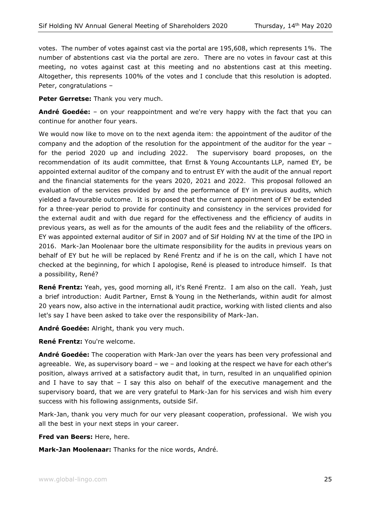votes. The number of votes against cast via the portal are 195,608, which represents 1%. The number of abstentions cast via the portal are zero. There are no votes in favour cast at this meeting, no votes against cast at this meeting and no abstentions cast at this meeting. Altogether, this represents 100% of the votes and I conclude that this resolution is adopted. Peter, congratulations –

Peter Gerretse: Thank you very much.

**André Goedée:** – on your reappointment and we're very happy with the fact that you can continue for another four years.

We would now like to move on to the next agenda item: the appointment of the auditor of the company and the adoption of the resolution for the appointment of the auditor for the year – for the period 2020 up and including 2022. The supervisory board proposes, on the recommendation of its audit committee, that Ernst & Young Accountants LLP, named EY, be appointed external auditor of the company and to entrust EY with the audit of the annual report and the financial statements for the years 2020, 2021 and 2022. This proposal followed an evaluation of the services provided by and the performance of EY in previous audits, which yielded a favourable outcome. It is proposed that the current appointment of EY be extended for a three-year period to provide for continuity and consistency in the services provided for the external audit and with due regard for the effectiveness and the efficiency of audits in previous years, as well as for the amounts of the audit fees and the reliability of the officers. EY was appointed external auditor of Sif in 2007 and of Sif Holding NV at the time of the IPO in 2016. Mark-Jan Moolenaar bore the ultimate responsibility for the audits in previous years on behalf of EY but he will be replaced by René Frentz and if he is on the call, which I have not checked at the beginning, for which I apologise, René is pleased to introduce himself. Is that a possibility, René?

**René Frentz:** Yeah, yes, good morning all, it's René Frentz. I am also on the call. Yeah, just a brief introduction: Audit Partner, Ernst & Young in the Netherlands, within audit for almost 20 years now, also active in the international audit practice, working with listed clients and also let's say I have been asked to take over the responsibility of Mark-Jan.

**André Goedée:** Alright, thank you very much.

**René Frentz:** You're welcome.

**André Goedée:** The cooperation with Mark-Jan over the years has been very professional and agreeable. We, as supervisory board – we – and looking at the respect we have for each other's position, always arrived at a satisfactory audit that, in turn, resulted in an unqualified opinion and I have to say that  $-$  I say this also on behalf of the executive management and the supervisory board, that we are very grateful to Mark-Jan for his services and wish him every success with his following assignments, outside Sif.

Mark-Jan, thank you very much for our very pleasant cooperation, professional. We wish you all the best in your next steps in your career.

**Fred van Beers:** Here, here.

**Mark-Jan Moolenaar:** Thanks for the nice words, André.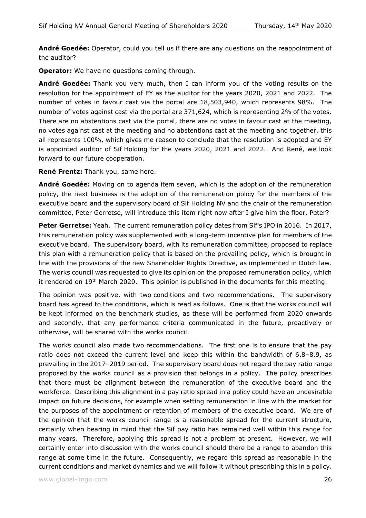**André Goedée:** Operator, could you tell us if there are any questions on the reappointment of the auditor?

**Operator:** We have no questions coming through.

**André Goedée:** Thank you very much, then I can inform you of the voting results on the resolution for the appointment of EY as the auditor for the years 2020, 2021 and 2022. The number of votes in favour cast via the portal are 18,503,940, which represents 98%. The number of votes against cast via the portal are 371,624, which is representing 2% of the votes. There are no abstentions cast via the portal, there are no votes in favour cast at the meeting, no votes against cast at the meeting and no abstentions cast at the meeting and together, this all represents 100%, which gives me reason to conclude that the resolution is adopted and EY is appointed auditor of Sif Holding for the years 2020, 2021 and 2022. And René, we look forward to our future cooperation.

**René Frentz:** Thank you, same here.

**André Goedée:** Moving on to agenda item seven, which is the adoption of the remuneration policy, the next business is the adoption of the remuneration policy for the members of the executive board and the supervisory board of Sif Holding NV and the chair of the remuneration committee, Peter Gerretse, will introduce this item right now after I give him the floor, Peter?

**Peter Gerretse:** Yeah. The current remuneration policy dates from Sif's IPO in 2016. In 2017, this remuneration policy was supplemented with a long-term incentive plan for members of the executive board. The supervisory board, with its remuneration committee, proposed to replace this plan with a remuneration policy that is based on the prevailing policy, which is brought in line with the provisions of the new Shareholder Rights Directive, as implemented in Dutch law. The works council was requested to give its opinion on the proposed remuneration policy, which it rendered on 19<sup>th</sup> March 2020. This opinion is published in the documents for this meeting.

The opinion was positive, with two conditions and two recommendations. The supervisory board has agreed to the conditions, which is read as follows. One is that the works council will be kept informed on the benchmark studies, as these will be performed from 2020 onwards and secondly, that any performance criteria communicated in the future, proactively or otherwise, will be shared with the works council.

The works council also made two recommendations. The first one is to ensure that the pay ratio does not exceed the current level and keep this within the bandwidth of 6.8–8.9, as prevailing in the 2017–2019 period. The supervisory board does not regard the pay ratio range proposed by the works council as a provision that belongs in a policy. The policy prescribes that there must be alignment between the remuneration of the executive board and the workforce. Describing this alignment in a pay ratio spread in a policy could have an undesirable impact on future decisions, for example when setting remuneration in line with the market for the purposes of the appointment or retention of members of the executive board. We are of the opinion that the works council range is a reasonable spread for the current structure, certainly when bearing in mind that the Sif pay ratio has remained well within this range for many years. Therefore, applying this spread is not a problem at present. However, we will certainly enter into discussion with the works council should there be a range to abandon this range at some time in the future. Consequently, we regard this spread as reasonable in the current conditions and market dynamics and we will follow it without prescribing this in a policy.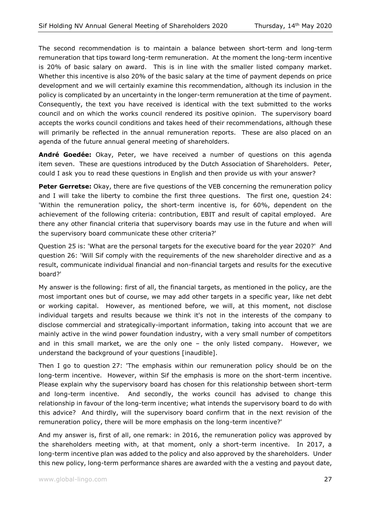The second recommendation is to maintain a balance between short-term and long-term remuneration that tips toward long-term remuneration. At the moment the long-term incentive is 20% of basic salary on award. This is in line with the smaller listed company market. Whether this incentive is also 20% of the basic salary at the time of payment depends on price development and we will certainly examine this recommendation, although its inclusion in the policy is complicated by an uncertainty in the longer-term remuneration at the time of payment. Consequently, the text you have received is identical with the text submitted to the works council and on which the works council rendered its positive opinion. The supervisory board accepts the works council conditions and takes heed of their recommendations, although these will primarily be reflected in the annual remuneration reports. These are also placed on an agenda of the future annual general meeting of shareholders.

**André Goedée:** Okay, Peter, we have received a number of questions on this agenda item seven. These are questions introduced by the Dutch Association of Shareholders. Peter, could I ask you to read these questions in English and then provide us with your answer?

**Peter Gerretse:** Okay, there are five questions of the VEB concerning the remuneration policy and I will take the liberty to combine the first three questions. The first one, question 24: 'Within the remuneration policy, the short-term incentive is, for 60%, dependent on the achievement of the following criteria: contribution, EBIT and result of capital employed. Are there any other financial criteria that supervisory boards may use in the future and when will the supervisory board communicate these other criteria?'

Question 25 is: 'What are the personal targets for the executive board for the year 2020?' And question 26: 'Will Sif comply with the requirements of the new shareholder directive and as a result, communicate individual financial and non-financial targets and results for the executive board?'

My answer is the following: first of all, the financial targets, as mentioned in the policy, are the most important ones but of course, we may add other targets in a specific year, like net debt or working capital. However, as mentioned before, we will, at this moment, not disclose individual targets and results because we think it's not in the interests of the company to disclose commercial and strategically-important information, taking into account that we are mainly active in the wind power foundation industry, with a very small number of competitors and in this small market, we are the only one – the only listed company. However, we understand the background of your questions [inaudible].

Then I go to question 27: 'The emphasis within our remuneration policy should be on the long-term incentive. However, within Sif the emphasis is more on the short-term incentive. Please explain why the supervisory board has chosen for this relationship between short-term and long-term incentive. And secondly, the works council has advised to change this relationship in favour of the long-term incentive; what intends the supervisory board to do with this advice? And thirdly, will the supervisory board confirm that in the next revision of the remuneration policy, there will be more emphasis on the long-term incentive?'

And my answer is, first of all, one remark: in 2016, the remuneration policy was approved by the shareholders meeting with, at that moment, only a short-term incentive. In 2017, a long-term incentive plan was added to the policy and also approved by the shareholders. Under this new policy, long-term performance shares are awarded with the a vesting and payout date,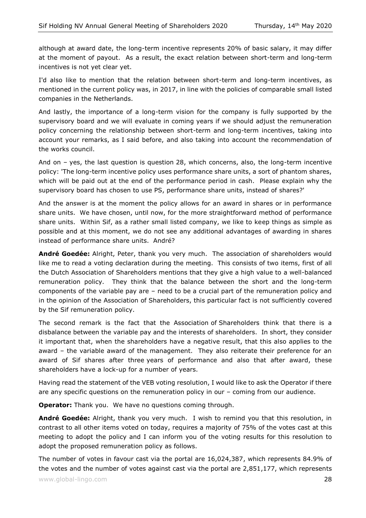although at award date, the long-term incentive represents 20% of basic salary, it may differ at the moment of payout. As a result, the exact relation between short-term and long-term incentives is not yet clear yet.

I'd also like to mention that the relation between short-term and long-term incentives, as mentioned in the current policy was, in 2017, in line with the policies of comparable small listed companies in the Netherlands.

And lastly, the importance of a long-term vision for the company is fully supported by the supervisory board and we will evaluate in coming years if we should adjust the remuneration policy concerning the relationship between short-term and long-term incentives, taking into account your remarks, as I said before, and also taking into account the recommendation of the works council.

And on – yes, the last question is question 28, which concerns, also, the long-term incentive policy: 'The long-term incentive policy uses performance share units, a sort of phantom shares, which will be paid out at the end of the performance period in cash. Please explain why the supervisory board has chosen to use PS, performance share units, instead of shares?'

And the answer is at the moment the policy allows for an award in shares or in performance share units. We have chosen, until now, for the more straightforward method of performance share units. Within Sif, as a rather small listed company, we like to keep things as simple as possible and at this moment, we do not see any additional advantages of awarding in shares instead of performance share units. André?

**André Goedée:** Alright, Peter, thank you very much. The association of shareholders would like me to read a voting declaration during the meeting. This consists of two items, first of all the Dutch Association of Shareholders mentions that they give a high value to a well-balanced remuneration policy. They think that the balance between the short and the long-term components of the variable pay are – need to be a crucial part of the remuneration policy and in the opinion of the Association of Shareholders, this particular fact is not sufficiently covered by the Sif remuneration policy.

The second remark is the fact that the Association of Shareholders think that there is a disbalance between the variable pay and the interests of shareholders. In short, they consider it important that, when the shareholders have a negative result, that this also applies to the award – the variable award of the management. They also reiterate their preference for an award of Sif shares after three years of performance and also that after award, these shareholders have a lock-up for a number of years.

Having read the statement of the VEB voting resolution, I would like to ask the Operator if there are any specific questions on the remuneration policy in our – coming from our audience.

**Operator:** Thank you. We have no questions coming through.

**André Goedée:** Alright, thank you very much. I wish to remind you that this resolution, in contrast to all other items voted on today, requires a majority of 75% of the votes cast at this meeting to adopt the policy and I can inform you of the voting results for this resolution to adopt the proposed remuneration policy as follows.

The number of votes in favour cast via the portal are 16,024,387, which represents 84.9% of the votes and the number of votes against cast via the portal are 2,851,177, which represents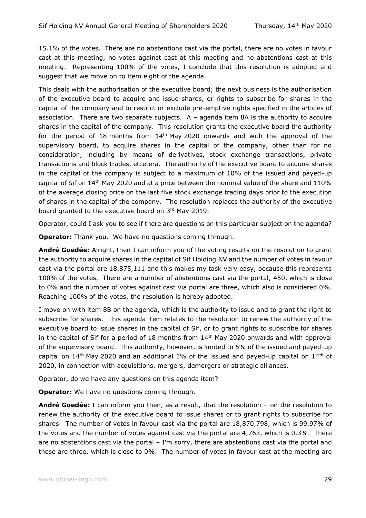15.1% of the votes. There are no abstentions cast via the portal, there are no votes in favour cast at this meeting, no votes against cast at this meeting and no abstentions cast at this meeting. Representing 100% of the votes, I conclude that this resolution is adopted and suggest that we move on to item eight of the agenda.

This deals with the authorisation of the executive board; the next business is the authorisation of the executive board to acquire and issue shares, or rights to subscribe for shares in the capital of the company and to restrict or exclude pre-emptive rights specified in the articles of association. There are two separate subjects. A – agenda item 8A is the authority to acquire shares in the capital of the company. This resolution grants the executive board the authority for the period of 18 months from 14th May 2020 onwards and with the approval of the supervisory board, to acquire shares in the capital of the company, other than for no consideration, including by means of derivatives, stock exchange transactions, private transactions and block trades, etcetera. The authority of the executive board to acquire shares in the capital of the company is subject to a maximum of 10% of the issued and payed-up capital of Sif on  $14<sup>th</sup>$  May 2020 and at a price between the nominal value of the share and 110% of the average closing price on the last five stock exchange trading days prior to the execution of shares in the capital of the company. The resolution replaces the authority of the executive board granted to the executive board on 3rd May 2019.

Operator, could I ask you to see if there are questions on this particular subject on the agenda?

**Operator:** Thank you. We have no questions coming through.

**André Goedée:** Alright, then I can inform you of the voting results on the resolution to grant the authority to acquire shares in the capital of Sif Holding NV and the number of votes in favour cast via the portal are 18,875,111 and this makes my task very easy, because this represents 100% of the votes. There are a number of abstentions cast via the portal, 450, which is close to 0% and the number of votes against cast via portal are three, which also is considered 0%. Reaching 100% of the votes, the resolution is hereby adopted.

I move on with item 8B on the agenda, which is the authority to issue and to grant the right to subscribe for shares. This agenda item relates to the resolution to renew the authority of the executive board to issue shares in the capital of Sif, or to grant rights to subscribe for shares in the capital of Sif for a period of 18 months from  $14<sup>th</sup>$  May 2020 onwards and with approval of the supervisory board. This authority, however, is limited to 5% of the issued and payed-up capital on  $14<sup>th</sup>$  May 2020 and an additional 5% of the issued and payed-up capital on  $14<sup>th</sup>$  of 2020, in connection with acquisitions, mergers, demergers or strategic alliances.

Operator, do we have any questions on this agenda item?

**Operator:** We have no questions coming through.

**André Goedée:** I can inform you then, as a result, that the resolution – on the resolution to renew the authority of the executive board to issue shares or to grant rights to subscribe for shares. The number of votes in favour cast via the portal are 18,870,798, which is 99.97% of the votes and the number of votes against cast via the portal are 4,763, which is 0.3%. There are no abstentions cast via the portal – I'm sorry, there are abstentions cast via the portal and these are three, which is close to 0%. The number of votes in favour cast at the meeting are